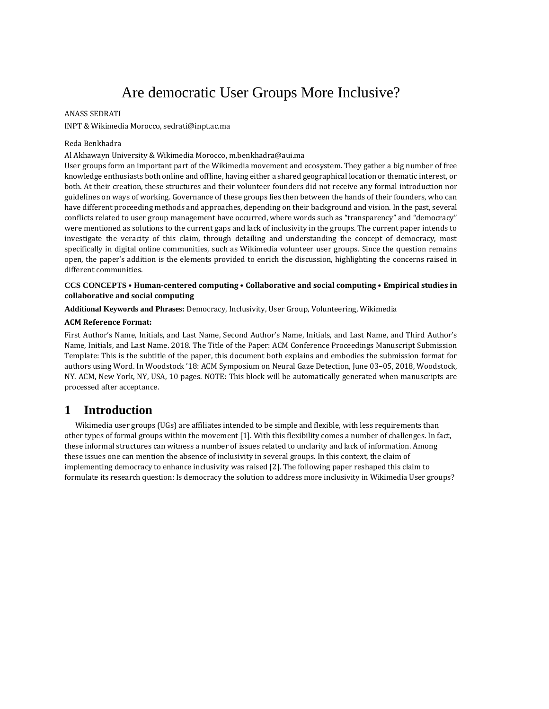# Are democratic User Groups More Inclusive?

#### ANASS SEDRATI

INPT & Wikimedia Morocco, sedrati@inpt.ac.ma

#### Reda Benkhadra

Al Akhawayn University & Wikimedia Morocco, m.benkhadra@aui.ma

User groups form an important part of the Wikimedia movement and ecosystem. They gather a big number of free knowledge enthusiasts both online and offline, having either a shared geographical location or thematic interest, or both. At their creation, these structures and their volunteer founders did not receive any formal introduction nor guidelines on ways of working. Governance of these groups lies then between the hands of their founders, who can have different proceeding methods and approaches, depending on their background and vision. In the past, several conflicts related to user group management have occurred, where words such as "transparency" and "democracy" were mentioned as solutions to the current gaps and lack of inclusivity in the groups. The current paper intends to investigate the veracity of this claim, through detailing and understanding the concept of democracy, most specifically in digital online communities, such as Wikimedia volunteer user groups. Since the question remains open, the paper's addition is the elements provided to enrich the discussion, highlighting the concerns raised in different communities.

#### **CCS CONCEPTS** • **Human-centered computing** • **Collaborative and social computing** • **Empirical studies in collaborative and social computing**

**Additional Keywords and Phrases:** Democracy, Inclusivity, User Group, Volunteering, Wikimedia

#### **ACM Reference Format:**

First Author's Name, Initials, and Last Name, Second Author's Name, Initials, and Last Name, and Third Author's Name, Initials, and Last Name. 2018. The Title of the Paper: ACM Conference Proceedings Manuscript Submission Template: This is the subtitle of the paper, this document both explains and embodies the submission format for authors using Word. In Woodstock '18: ACM Symposium on Neural Gaze Detection, June 03–05, 2018, Woodstock, NY. ACM, New York, NY, USA, 10 pages. NOTE: This block will be automatically generated when manuscripts are processed after acceptance.

# **1 Introduction**

Wikimedia user groups (UGs) are affiliates intended to be simple and flexible, with less requirements than other types of formal groups within the movement [1]. With this flexibility comes a number of challenges. In fact, these informal structures can witness a number of issues related to unclarity and lack of information. Among these issues one can mention the absence of inclusivity in several groups. In this context, the claim of implementing democracy to enhance inclusivity was raised [2]. The following paper reshaped this claim to formulate its research question: Is democracy the solution to address more inclusivity in Wikimedia User groups?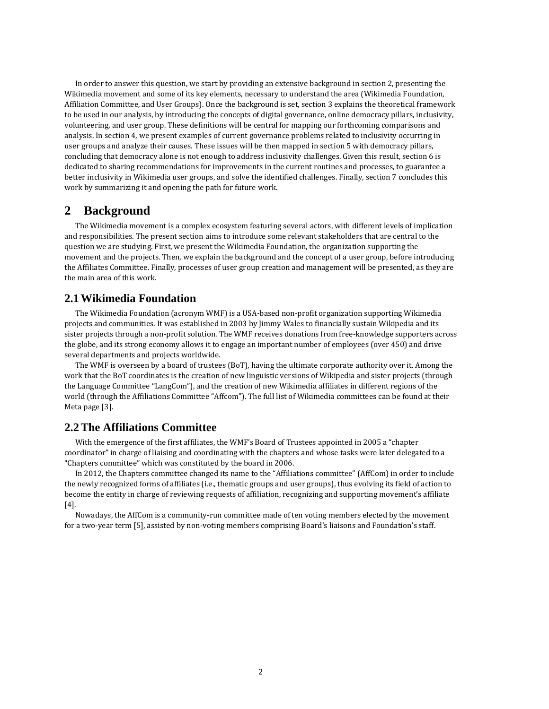In order to answer this question, we start by providing an extensive background in section 2, presenting the Wikimedia movement and some of its key elements, necessary to understand the area (Wikimedia Foundation, Affiliation Committee, and User Groups). Once the background is set, section 3 explains the theoretical framework to be used in our analysis, by introducing the concepts of digital governance, online democracy pillars, inclusivity, volunteering, and user group. These definitions will be central for mapping our forthcoming comparisons and analysis. In section 4, we present examples of current governance problems related to inclusivity occurring in user groups and analyze their causes. These issues will be then mapped in section 5 with democracy pillars, concluding that democracy alone is not enough to address inclusivity challenges. Given this result, section 6 is dedicated to sharing recommendations for improvements in the current routines and processes, to guarantee a better inclusivity in Wikimedia user groups, and solve the identified challenges. Finally, section 7 concludes this work by summarizing it and opening the path for future work.

# **2 Background**

The Wikimedia movement is a complex ecosystem featuring several actors, with different levels of implication and responsibilities. The present section aims to introduce some relevant stakeholders that are central to the question we are studying. First, we present the Wikimedia Foundation, the organization supporting the movement and the projects. Then, we explain the background and the concept of a user group, before introducing the Affiliates Committee. Finally, processes of user group creation and management will be presented, as they are the main area of this work.

# **2.1Wikimedia Foundation**

The Wikimedia Foundation (acronym WMF) is a USA-based non-profit organization supporting Wikimedia projects and communities. It was established in 2003 by Jimmy Wales to financially sustain Wikipedia and its sister projects through a non-profit solution. The WMF receives donations from free-knowledge supporters across the globe, and its strong economy allows it to engage an important number of employees (over 450) and drive several departments and projects worldwide.

The WMF is overseen by a board of trustees (BoT), having the ultimate corporate authority over it. Among the work that the BoT coordinates is the creation of new linguistic versions of Wikipedia and sister projects (through the Language Committee "LangCom"), and the creation of new Wikimedia affiliates in different regions of the world (through the Affiliations Committee "Affcom"). The full list of Wikimedia committees can be found at their Meta page [3].

# **2.2The Affiliations Committee**

With the emergence of the first affiliates, the WMF's Board of Trustees appointed in 2005 a "chapter coordinator" in charge of liaising and coordinating with the chapters and whose tasks were later delegated to a "Chapters committee" which was constituted by the board in 2006.

In 2012, the Chapters committee changed its name to the "Affiliations committee" (AffCom) in order to include the newly recognized forms of affiliates (i.e., thematic groups and user groups), thus evolving its field of action to become the entity in charge of reviewing requests of affiliation, recognizing and supporting movement's affiliate [4].

Nowadays, the AffCom is a community-run committee made of ten voting members elected by the movement for a two-year term [5], assisted by non-voting members comprising Board's liaisons and Foundation's staff.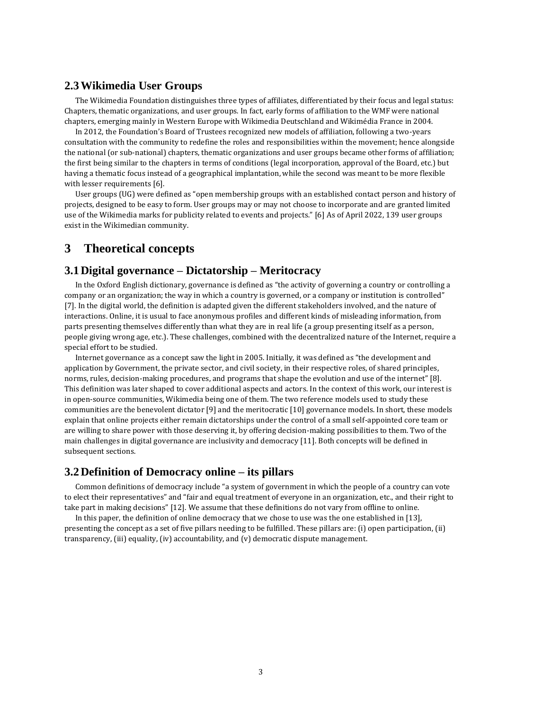# **2.3Wikimedia User Groups**

The Wikimedia Foundation distinguishes three types of affiliates, differentiated by their focus and legal status: Chapters, thematic organizations, and user groups. In fact, early forms of affiliation to the WMF were national chapters, emerging mainly in Western Europe with Wikimedia Deutschland and Wikimédia France in 2004.

In 2012, the Foundation's Board of Trustees recognized new models of affiliation, following a two-years consultation with the community to redefine the roles and responsibilities within the movement; hence alongside the national (or sub-national) chapters, thematic organizations and user groups became other forms of affiliation; the first being similar to the chapters in terms of conditions (legal incorporation, approval of the Board, etc.) but having a thematic focus instead of a geographical implantation, while the second was meant to be more flexible with lesser requirements [6].

User groups (UG) were defined as "open membership groups with an established contact person and history of projects, designed to be easy to form. User groups may or may not choose to incorporate and are granted limited use of the Wikimedia marks for publicity related to events and projects." [6] As of April 2022, 139 user groups exist in the Wikimedian community.

# **3 Theoretical concepts**

# **3.1Digital governance – Dictatorship – Meritocracy**

In the Oxford English dictionary, governance is defined as "the activity of governing a country or controlling a company or an organization; the way in which a country is governed, or a company or institution is controlled" [7]. In the digital world, the definition is adapted given the different stakeholders involved, and the nature of interactions. Online, it is usual to face anonymous profiles and different kinds of misleading information, from parts presenting themselves differently than what they are in real life (a group presenting itself as a person, people giving wrong age, etc.). These challenges, combined with the decentralized nature of the Internet, require a special effort to be studied.

Internet governance as a concept saw the light in 2005. Initially, it was defined as "the development and application by Government, the private sector, and civil society, in their respective roles, of shared principles, norms, rules, decision-making procedures, and programs that shape the evolution and use of the internet" [8]. This definition was later shaped to cover additional aspects and actors. In the context of this work, our interest is in open-source communities, Wikimedia being one of them. The two reference models used to study these communities are the benevolent dictator [9] and the meritocratic [10] governance models. In short, these models explain that online projects either remain dictatorships under the control of a small self-appointed core team or are willing to share power with those deserving it, by offering decision-making possibilities to them. Two of the main challenges in digital governance are inclusivity and democracy [11]. Both concepts will be defined in subsequent sections.

# **3.2Definition of Democracy online – its pillars**

Common definitions of democracy include "a system of government in which the people of a country can vote to elect their representatives" and "fair and equal treatment of everyone in an organization, etc., and their right to take part in making decisions" [12]. We assume that these definitions do not vary from offline to online.

In this paper, the definition of online democracy that we chose to use was the one established in [13], presenting the concept as a set of five pillars needing to be fulfilled. These pillars are: (i) open participation, (ii) transparency, (iii) equality, (iv) accountability, and (v) democratic dispute management.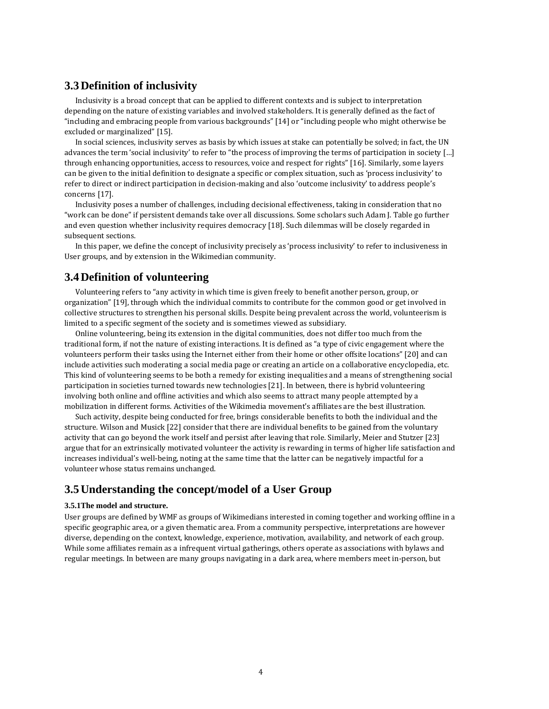# **3.3Definition of inclusivity**

Inclusivity is a broad concept that can be applied to different contexts and is subject to interpretation depending on the nature of existing variables and involved stakeholders. It is generally defined as the fact of "including and embracing people from various backgrounds" [14] or "including people who might otherwise be excluded or marginalized" [15].

In social sciences, inclusivity serves as basis by which issues at stake can potentially be solved; in fact, the UN advances the term 'social inclusivity' to refer to "the process of improving the terms of participation in society […] through enhancing opportunities, access to resources, voice and respect for rights" [16]. Similarly, some layers can be given to the initial definition to designate a specific or complex situation, such as 'process inclusivity' to refer to direct or indirect participation in decision-making and also 'outcome inclusivity' to address people's concerns [17].

Inclusivity poses a number of challenges, including decisional effectiveness, taking in consideration that no "work can be done" if persistent demands take over all discussions. Some scholars such Adam J. Table go further and even question whether inclusivity requires democracy [18]. Such dilemmas will be closely regarded in subsequent sections.

In this paper, we define the concept of inclusivity precisely as 'process inclusivity' to refer to inclusiveness in User groups, and by extension in the Wikimedian community.

### **3.4Definition of volunteering**

Volunteering refers to "any activity in which time is given freely to benefit another person, group, or organization" [19], through which the individual commits to contribute for the common good or get involved in collective structures to strengthen his personal skills. Despite being prevalent across the world, volunteerism is limited to a specific segment of the society and is sometimes viewed as subsidiary.

Online volunteering, being its extension in the digital communities, does not differ too much from the traditional form, if not the nature of existing interactions. It is defined as "a type of civic engagement where the volunteers perform their tasks using the Internet either from their home or other offsite locations" [20] and can include activities such moderating a social media page or creating an article on a collaborative encyclopedia, etc. This kind of volunteering seems to be both a remedy for existing inequalities and a means of strengthening social participation in societies turned towards new technologies [21]. In between, there is hybrid volunteering involving both online and offline activities and which also seems to attract many people attempted by a mobilization in different forms. Activities of the Wikimedia movement's affiliates are the best illustration.

Such activity, despite being conducted for free, brings considerable benefits to both the individual and the structure. Wilson and Musick [22] consider that there are individual benefits to be gained from the voluntary activity that can go beyond the work itself and persist after leaving that role. Similarly, Meier and Stutzer [23] argue that for an extrinsically motivated volunteer the activity is rewarding in terms of higher life satisfaction and increases individual's well-being, noting at the same time that the latter can be negatively impactful for a volunteer whose status remains unchanged.

# **3.5Understanding the concept/model of a User Group**

#### **3.5.1The model and structure.**

User groups are defined by WMF as groups of Wikimedians interested in coming together and working offline in a specific geographic area, or a given thematic area. From a community perspective, interpretations are however diverse, depending on the context, knowledge, experience, motivation, availability, and network of each group. While some affiliates remain as a infrequent virtual gatherings, others operate as associations with bylaws and regular meetings. In between are many groups navigating in a dark area, where members meet in-person, but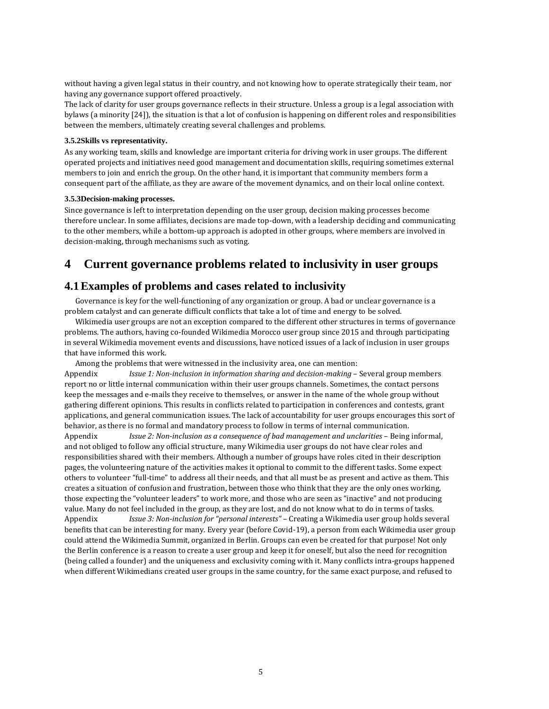without having a given legal status in their country, and not knowing how to operate strategically their team, nor having any governance support offered proactively.

The lack of clarity for user groups governance reflects in their structure. Unless a group is a legal association with bylaws (a minority [24]), the situation is that a lot of confusion is happening on different roles and responsibilities between the members, ultimately creating several challenges and problems.

#### **3.5.2Skills vs representativity.**

As any working team, skills and knowledge are important criteria for driving work in user groups. The different operated projects and initiatives need good management and documentation skills, requiring sometimes external members to join and enrich the group. On the other hand, it is important that community members form a consequent part of the affiliate, as they are aware of the movement dynamics, and on their local online context.

#### **3.5.3Decision-making processes.**

Since governance is left to interpretation depending on the user group, decision making processes become therefore unclear. In some affiliates, decisions are made top-down, with a leadership deciding and communicating to the other members, while a bottom-up approach is adopted in other groups, where members are involved in decision-making, through mechanisms such as voting.

# **4 Current governance problems related to inclusivity in user groups**

# **4.1Examples of problems and cases related to inclusivity**

Governance is key for the well-functioning of any organization or group. A bad or unclear governance is a problem catalyst and can generate difficult conflicts that take a lot of time and energy to be solved.

Wikimedia user groups are not an exception compared to the different other structures in terms of governance problems. The authors, having co-founded Wikimedia Morocco user group since 2015 and through participating in several Wikimedia movement events and discussions, have noticed issues of a lack of inclusion in user groups that have informed this work.

Among the problems that were witnessed in the inclusivity area, one can mention:

Appendix *Issue 1: Non-inclusion in information sharing and decision-making* – Several group members report no or little internal communication within their user groups channels. Sometimes, the contact persons keep the messages and e-mails they receive to themselves, or answer in the name of the whole group without gathering different opinions. This results in conflicts related to participation in conferences and contests, grant applications, and general communication issues. The lack of accountability for user groups encourages this sort of behavior, as there is no formal and mandatory process to follow in terms of internal communication. Appendix *Issue 2: Non-inclusion as a consequence of bad management and unclarities* – Being informal, and not obliged to follow any official structure, many Wikimedia user groups do not have clear roles and responsibilities shared with their members. Although a number of groups have roles cited in their description pages, the volunteering nature of the activities makes it optional to commit to the different tasks. Some expect others to volunteer "full-time" to address all their needs, and that all must be as present and active as them. This creates a situation of confusion and frustration, between those who think that they are the only ones working, those expecting the "volunteer leaders" to work more, and those who are seen as "inactive" and not producing value. Many do not feel included in the group, as they are lost, and do not know what to do in terms of tasks. Appendix *Issue 3: Non-inclusion for "personal interests"* – Creating a Wikimedia user group holds several benefits that can be interesting for many. Every year (before Covid-19), a person from each Wikimedia user group could attend the Wikimedia Summit, organized in Berlin. Groups can even be created for that purpose! Not only the Berlin conference is a reason to create a user group and keep it for oneself, but also the need for recognition (being called a founder) and the uniqueness and exclusivity coming with it. Many conflicts intra-groups happened when different Wikimedians created user groups in the same country, for the same exact purpose, and refused to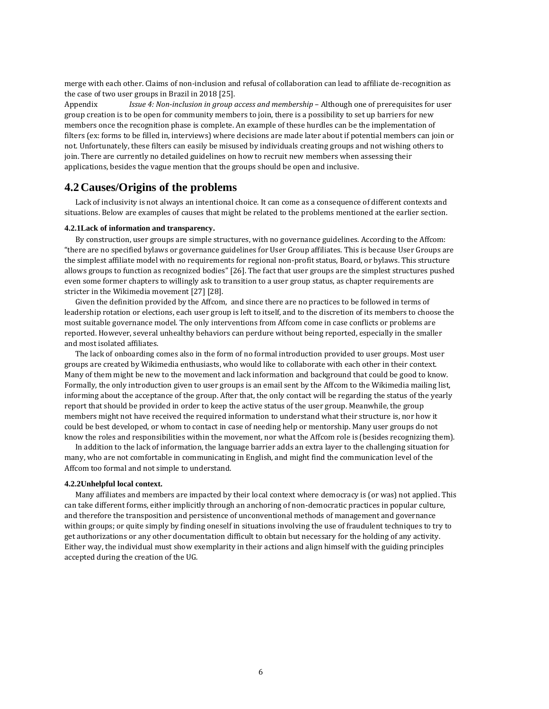merge with each other. Claims of non-inclusion and refusal of collaboration can lead to affiliate de-recognition as the case of two user groups in Brazil in 2018 [25].

Appendix *Issue 4: Non-inclusion in group access and membership* – Although one of prerequisites for user group creation is to be open for community members to join, there is a possibility to set up barriers for new members once the recognition phase is complete. An example of these hurdles can be the implementation of filters (ex: forms to be filled in, interviews) where decisions are made later about if potential members can join or not. Unfortunately, these filters can easily be misused by individuals creating groups and not wishing others to join. There are currently no detailed guidelines on how to recruit new members when assessing their applications, besides the vague mention that the groups should be open and inclusive.

### **4.2Causes/Origins of the problems**

Lack of inclusivity is not always an intentional choice. It can come as a consequence of different contexts and situations. Below are examples of causes that might be related to the problems mentioned at the earlier section.

#### **4.2.1Lack of information and transparency.**

By construction, user groups are simple structures, with no governance guidelines. According to the Affcom: "there are no specified bylaws or governance guidelines for User Group affiliates. This is because User Groups are the simplest affiliate model with no requirements for regional non-profit status, Board, or bylaws. This structure allows groups to function as recognized bodies" [26]. The fact that user groups are the simplest structures pushed even some former chapters to willingly ask to transition to a user group status, as chapter requirements are stricter in the Wikimedia movement [27] [28].

Given the definition provided by the Affcom, and since there are no practices to be followed in terms of leadership rotation or elections, each user group is left to itself, and to the discretion of its members to choose the most suitable governance model. The only interventions from Affcom come in case conflicts or problems are reported. However, several unhealthy behaviors can perdure without being reported, especially in the smaller and most isolated affiliates.

The lack of onboarding comes also in the form of no formal introduction provided to user groups. Most user groups are created by Wikimedia enthusiasts, who would like to collaborate with each other in their context. Many of them might be new to the movement and lack information and background that could be good to know. Formally, the only introduction given to user groups is an email sent by the Affcom to the Wikimedia mailing list, informing about the acceptance of the group. After that, the only contact will be regarding the status of the yearly report that should be provided in order to keep the active status of the user group. Meanwhile, the group members might not have received the required information to understand what their structure is, nor how it could be best developed, or whom to contact in case of needing help or mentorship. Many user groups do not know the roles and responsibilities within the movement, nor what the Affcom role is (besides recognizing them).

In addition to the lack of information, the language barrier adds an extra layer to the challenging situation for many, who are not comfortable in communicating in English, and might find the communication level of the Affcom too formal and not simple to understand.

#### **4.2.2Unhelpful local context.**

Many affiliates and members are impacted by their local context where democracy is (or was) not applied. This can take different forms, either implicitly through an anchoring of non-democratic practices in popular culture, and therefore the transposition and persistence of unconventional methods of management and governance within groups; or quite simply by finding oneself in situations involving the use of fraudulent techniques to try to get authorizations or any other documentation difficult to obtain but necessary for the holding of any activity. Either way, the individual must show exemplarity in their actions and align himself with the guiding principles accepted during the creation of the UG.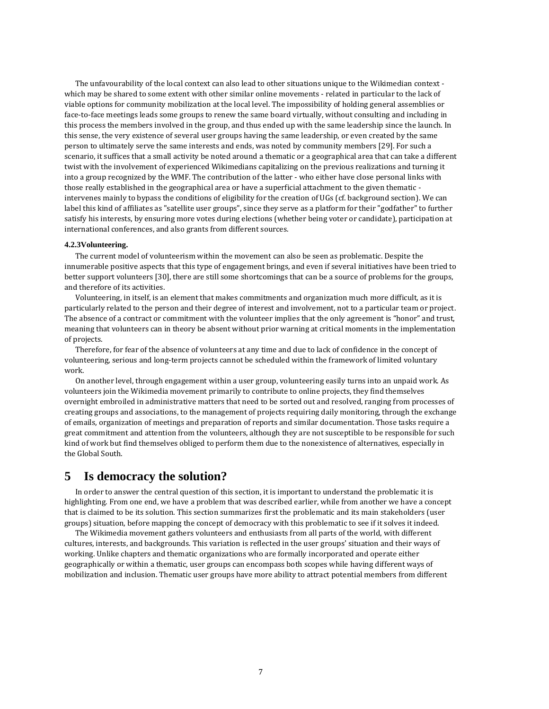The unfavourability of the local context can also lead to other situations unique to the Wikimedian context which may be shared to some extent with other similar online movements - related in particular to the lack of viable options for community mobilization at the local level. The impossibility of holding general assemblies or face-to-face meetings leads some groups to renew the same board virtually, without consulting and including in this process the members involved in the group, and thus ended up with the same leadership since the launch. In this sense, the very existence of several user groups having the same leadership, or even created by the same person to ultimately serve the same interests and ends, was noted by community members [29]. For such a scenario, it suffices that a small activity be noted around a thematic or a geographical area that can take a different twist with the involvement of experienced Wikimedians capitalizing on the previous realizations and turning it into a group recognized by the WMF. The contribution of the latter - who either have close personal links with those really established in the geographical area or have a superficial attachment to the given thematic intervenes mainly to bypass the conditions of eligibility for the creation of UGs (cf. background section). We can label this kind of affiliates as "satellite user groups", since they serve as a platform for their "godfather" to further satisfy his interests, by ensuring more votes during elections (whether being voter or candidate), participation at international conferences, and also grants from different sources.

#### **4.2.3Volunteering.**

The current model of volunteerism within the movement can also be seen as problematic. Despite the innumerable positive aspects that this type of engagement brings, and even if several initiatives have been tried to better support volunteers [30], there are still some shortcomings that can be a source of problems for the groups, and therefore of its activities.

Volunteering, in itself, is an element that makes commitments and organization much more difficult, as it is particularly related to the person and their degree of interest and involvement, not to a particular team or project. The absence of a contract or commitment with the volunteer implies that the only agreement is "honor" and trust, meaning that volunteers can in theory be absent without prior warning at critical moments in the implementation of projects.

Therefore, for fear of the absence of volunteers at any time and due to lack of confidence in the concept of volunteering, serious and long-term projects cannot be scheduled within the framework of limited voluntary work.

On another level, through engagement within a user group, volunteering easily turns into an unpaid work. As volunteers join the Wikimedia movement primarily to contribute to online projects, they find themselves overnight embroiled in administrative matters that need to be sorted out and resolved, ranging from processes of creating groups and associations, to the management of projects requiring daily monitoring, through the exchange of emails, organization of meetings and preparation of reports and similar documentation. Those tasks require a great commitment and attention from the volunteers, although they are not susceptible to be responsible for such kind of work but find themselves obliged to perform them due to the nonexistence of alternatives, especially in the Global South.

# **5 Is democracy the solution?**

In order to answer the central question of this section, it is important to understand the problematic it is highlighting. From one end, we have a problem that was described earlier, while from another we have a concept that is claimed to be its solution. This section summarizes first the problematic and its main stakeholders (user groups) situation, before mapping the concept of democracy with this problematic to see if it solves it indeed.

The Wikimedia movement gathers volunteers and enthusiasts from all parts of the world, with different cultures, interests, and backgrounds. This variation is reflected in the user groups' situation and their ways of working. Unlike chapters and thematic organizations who are formally incorporated and operate either geographically or within a thematic, user groups can encompass both scopes while having different ways of mobilization and inclusion. Thematic user groups have more ability to attract potential members from different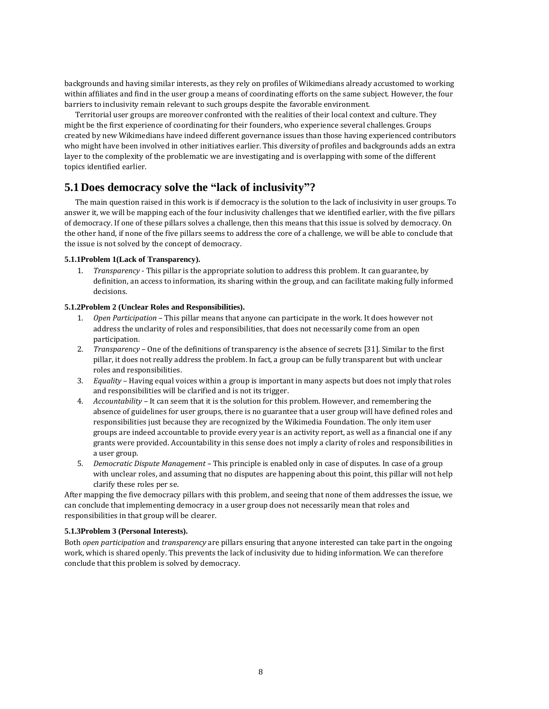backgrounds and having similar interests, as they rely on profiles of Wikimedians already accustomed to working within affiliates and find in the user group a means of coordinating efforts on the same subject. However, the four barriers to inclusivity remain relevant to such groups despite the favorable environment.

Territorial user groups are moreover confronted with the realities of their local context and culture. They might be the first experience of coordinating for their founders, who experience several challenges. Groups created by new Wikimedians have indeed different governance issues than those having experienced contributors who might have been involved in other initiatives earlier. This diversity of profiles and backgrounds adds an extra layer to the complexity of the problematic we are investigating and is overlapping with some of the different topics identified earlier.

# **5.1Does democracy solve the "lack of inclusivity"?**

The main question raised in this work is if democracy is the solution to the lack of inclusivity in user groups. To answer it, we will be mapping each of the four inclusivity challenges that we identified earlier, with the five pillars of democracy. If one of these pillars solves a challenge, then this means that this issue is solved by democracy. On the other hand, if none of the five pillars seems to address the core of a challenge, we will be able to conclude that the issue is not solved by the concept of democracy.

#### **5.1.1Problem 1(Lack of Transparency).**

1. *Transparency* - This pillar is the appropriate solution to address this problem. It can guarantee, by definition, an access to information, its sharing within the group, and can facilitate making fully informed decisions.

#### **5.1.2Problem 2 (Unclear Roles and Responsibilities).**

- 1. *Open Participation* This pillar means that anyone can participate in the work. It does however not address the unclarity of roles and responsibilities, that does not necessarily come from an open participation.
- 2. *Transparency* One of the definitions of transparency is the absence of secrets [31]. Similar to the first pillar, it does not really address the problem. In fact, a group can be fully transparent but with unclear roles and responsibilities.
- 3. *Equality* Having equal voices within a group is important in many aspects but does not imply that roles and responsibilities will be clarified and is not its trigger.
- 4. *Accountability* It can seem that it is the solution for this problem. However, and remembering the absence of guidelines for user groups, there is no guarantee that a user group will have defined roles and responsibilities just because they are recognized by the Wikimedia Foundation. The only item user groups are indeed accountable to provide every year is an activity report, as well as a financial one if any grants were provided. Accountability in this sense does not imply a clarity of roles and responsibilities in a user group.
- 5. *Democratic Dispute Management* This principle is enabled only in case of disputes. In case of a group with unclear roles, and assuming that no disputes are happening about this point, this pillar will not help clarify these roles per se.

After mapping the five democracy pillars with this problem, and seeing that none of them addresses the issue, we can conclude that implementing democracy in a user group does not necessarily mean that roles and responsibilities in that group will be clearer.

#### **5.1.3Problem 3 (Personal Interests).**

Both *open participation* and *transparency* are pillars ensuring that anyone interested can take part in the ongoing work, which is shared openly. This prevents the lack of inclusivity due to hiding information. We can therefore conclude that this problem is solved by democracy.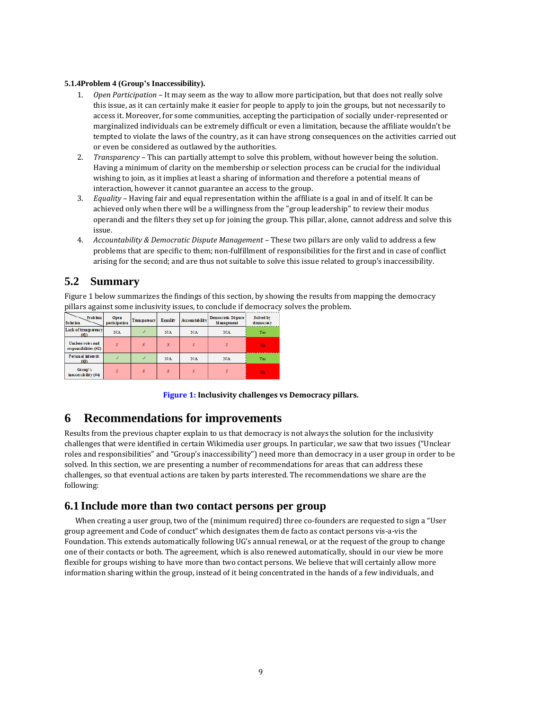#### **5.1.4Problem 4 (Group's Inaccessibility).**

- 1. *Open Participation* It may seem as the way to allow more participation, but that does not really solve this issue, as it can certainly make it easier for people to apply to join the groups, but not necessarily to access it. Moreover, for some communities, accepting the participation of socially under-represented or marginalized individuals can be extremely difficult or even a limitation, because the affiliate wouldn't be tempted to violate the laws of the country, as it can have strong consequences on the activities carried out or even be considered as outlawed by the authorities.
- 2. *Transparency* This can partially attempt to solve this problem, without however being the solution. Having a minimum of clarity on the membership or selection process can be crucial for the individual wishing to join, as it implies at least a sharing of information and therefore a potential means of interaction, however it cannot guarantee an access to the group.
- 3. *Equality* Having fair and equal representation within the affiliate is a goal in and of itself. It can be achieved only when there will be a willingness from the "group leadership" to review their modus operandi and the filters they set up for joining the group. This pillar, alone, cannot address and solve this issue.
- 4. *Accountability & Democratic Dispute Management*  These two pillars are only valid to address a few problems that are specific to them; non-fulfillment of responsibilities for the first and in case of conflict arising for the second; and are thus not suitable to solve this issue related to group's inaccessibility.

# **5.2 Summary**

Figure 1 below summarizes the findings of this section, by showing the results from mapping the democracy pillars against some inclusivity issues, to conclude if democracy solves the problem.

| <b>Problem</b><br><b>Solution</b>          | Open<br>participation | Transparency | Equality | Accountability | Democratic Dispute:<br>Management | Solved by<br>democracy |
|--------------------------------------------|-----------------------|--------------|----------|----------------|-----------------------------------|------------------------|
| Lack of transparency<br>(11)               | N/A                   |              | N/A      | N/A            | N/A                               | Yes                    |
| Unclear roles and<br>responsibilities (#2) |                       |              |          |                |                                   | No                     |
| Personal interests<br>(13)                 |                       |              | N/A      | N/A            | N/A                               | Yes                    |
| Group's<br>inaccessibility (#4)            | x                     |              | x        |                |                                   | No                     |

**Figure 1: Inclusivity challenges vs Democracy pillars.**

# **6 Recommendations for improvements**

Results from the previous chapter explain to us that democracy is not always the solution for the inclusivity challenges that were identified in certain Wikimedia user groups. In particular, we saw that two issues ("Unclear roles and responsibilities" and "Group's inaccessibility") need more than democracy in a user group in order to be solved. In this section, we are presenting a number of recommendations for areas that can address these challenges, so that eventual actions are taken by parts interested. The recommendations we share are the following:

# **6.1 Include more than two contact persons per group**

When creating a user group, two of the (minimum required) three co-founders are requested to sign a "User group agreement and Code of conduct" which designates them de facto as contact persons vis-a-vis the Foundation. This extends automatically following UG's annual renewal, or at the request of the group to change one of their contacts or both. The agreement, which is also renewed automatically, should in our view be more flexible for groups wishing to have more than two contact persons. We believe that will certainly allow more information sharing within the group, instead of it being concentrated in the hands of a few individuals, and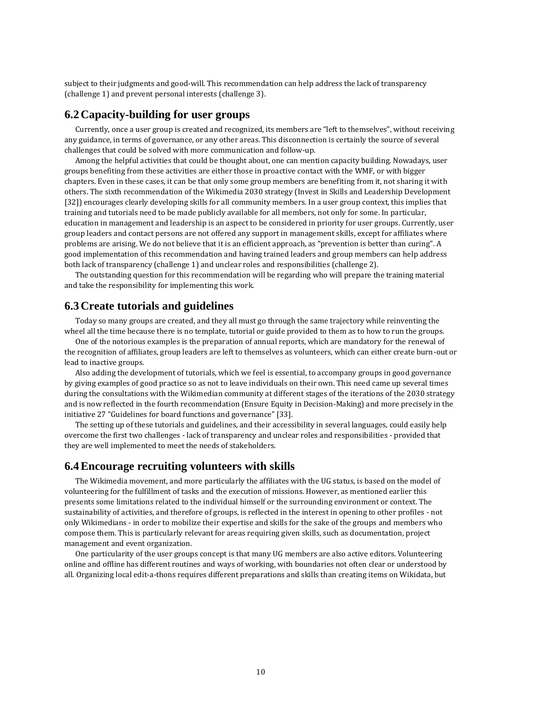subject to their judgments and good-will. This recommendation can help address the lack of transparency (challenge 1) and prevent personal interests (challenge 3).

# **6.2Capacity-building for user groups**

Currently, once a user group is created and recognized, its members are "left to themselves", without receiving any guidance, in terms of governance, or any other areas. This disconnection is certainly the source of several challenges that could be solved with more communication and follow-up.

Among the helpful activities that could be thought about, one can mention capacity building. Nowadays, user groups benefiting from these activities are either those in proactive contact with the WMF, or with bigger chapters. Even in these cases, it can be that only some group members are benefiting from it, not sharing it with others. The sixth recommendation of the Wikimedia 2030 strategy (Invest in Skills and Leadership Development [32]) encourages clearly developing skills for all community members. In a user group context, this implies that training and tutorials need to be made publicly available for all members, not only for some. In particular, education in management and leadership is an aspect to be considered in priority for user groups. Currently, user group leaders and contact persons are not offered any support in management skills, except for affiliates where problems are arising. We do not believe that it is an efficient approach, as "prevention is better than curing". A good implementation of this recommendation and having trained leaders and group members can help address both lack of transparency (challenge 1) and unclear roles and responsibilities (challenge 2).

The outstanding question for this recommendation will be regarding who will prepare the training material and take the responsibility for implementing this work.

### **6.3Create tutorials and guidelines**

Today so many groups are created, and they all must go through the same trajectory while reinventing the wheel all the time because there is no template, tutorial or guide provided to them as to how to run the groups.

One of the notorious examples is the preparation of annual reports, which are mandatory for the renewal of the recognition of affiliates, group leaders are left to themselves as volunteers, which can either create burn-out or lead to inactive groups.

Also adding the development of tutorials, which we feel is essential, to accompany groups in good governance by giving examples of good practice so as not to leave individuals on their own. This need came up several times during the consultations with the Wikimedian community at different stages of the iterations of the 2030 strategy and is now reflected in the fourth recommendation (Ensure Equity in Decision-Making) and more precisely in the initiative 27 "Guidelines for board functions and governance" [33].

The setting up of these tutorials and guidelines, and their accessibility in several languages, could easily help overcome the first two challenges - lack of transparency and unclear roles and responsibilities - provided that they are well implemented to meet the needs of stakeholders.

# **6.4Encourage recruiting volunteers with skills**

The Wikimedia movement, and more particularly the affiliates with the UG status, is based on the model of volunteering for the fulfillment of tasks and the execution of missions. However, as mentioned earlier this presents some limitations related to the individual himself or the surrounding environment or context. The sustainability of activities, and therefore of groups, is reflected in the interest in opening to other profiles - not only Wikimedians - in order to mobilize their expertise and skills for the sake of the groups and members who compose them. This is particularly relevant for areas requiring given skills, such as documentation, project management and event organization.

One particularity of the user groups concept is that many UG members are also active editors. Volunteering online and offline has different routines and ways of working, with boundaries not often clear or understood by all. Organizing local edit-a-thons requires different preparations and skills than creating items on Wikidata, but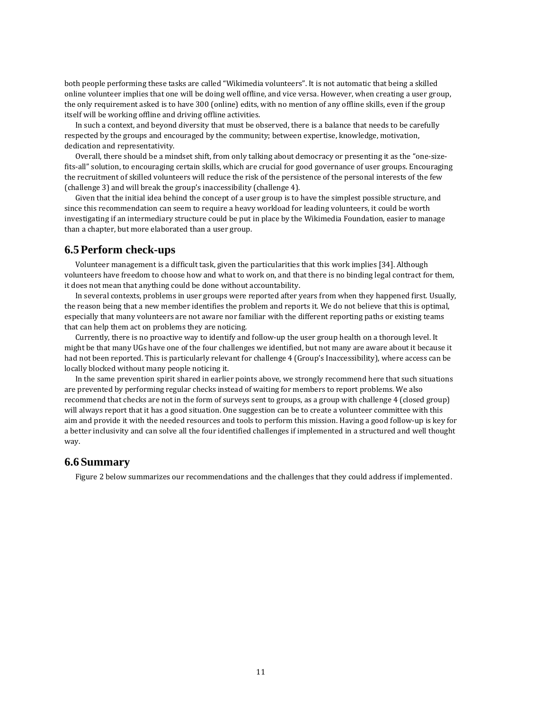both people performing these tasks are called "Wikimedia volunteers". It is not automatic that being a skilled online volunteer implies that one will be doing well offline, and vice versa. However, when creating a user group, the only requirement asked is to have 300 (online) edits, with no mention of any offline skills, even if the group itself will be working offline and driving offline activities.

In such a context, and beyond diversity that must be observed, there is a balance that needs to be carefully respected by the groups and encouraged by the community; between expertise, knowledge, motivation, dedication and representativity.

Overall, there should be a mindset shift, from only talking about democracy or presenting it as the "one-sizefits-all" solution, to encouraging certain skills, which are crucial for good governance of user groups. Encouraging the recruitment of skilled volunteers will reduce the risk of the persistence of the personal interests of the few (challenge 3) and will break the group's inaccessibility (challenge 4).

Given that the initial idea behind the concept of a user group is to have the simplest possible structure, and since this recommendation can seem to require a heavy workload for leading volunteers, it could be worth investigating if an intermediary structure could be put in place by the Wikimedia Foundation, easier to manage than a chapter, but more elaborated than a user group.

### **6.5Perform check-ups**

Volunteer management is a difficult task, given the particularities that this work implies [34]. Although volunteers have freedom to choose how and what to work on, and that there is no binding legal contract for them, it does not mean that anything could be done without accountability.

In several contexts, problems in user groups were reported after years from when they happened first. Usually, the reason being that a new member identifies the problem and reports it. We do not believe that this is optimal, especially that many volunteers are not aware nor familiar with the different reporting paths or existing teams that can help them act on problems they are noticing.

Currently, there is no proactive way to identify and follow-up the user group health on a thorough level. It might be that many UGs have one of the four challenges we identified, but not many are aware about it because it had not been reported. This is particularly relevant for challenge 4 (Group's Inaccessibility), where access can be locally blocked without many people noticing it.

In the same prevention spirit shared in earlier points above, we strongly recommend here that such situations are prevented by performing regular checks instead of waiting for members to report problems. We also recommend that checks are not in the form of surveys sent to groups, as a group with challenge 4 (closed group) will always report that it has a good situation. One suggestion can be to create a volunteer committee with this aim and provide it with the needed resources and tools to perform this mission. Having a good follow-up is key for a better inclusivity and can solve all the four identified challenges if implemented in a structured and well thought way.

# **6.6Summary**

Figure 2 below summarizes our recommendations and the challenges that they could address if implemented.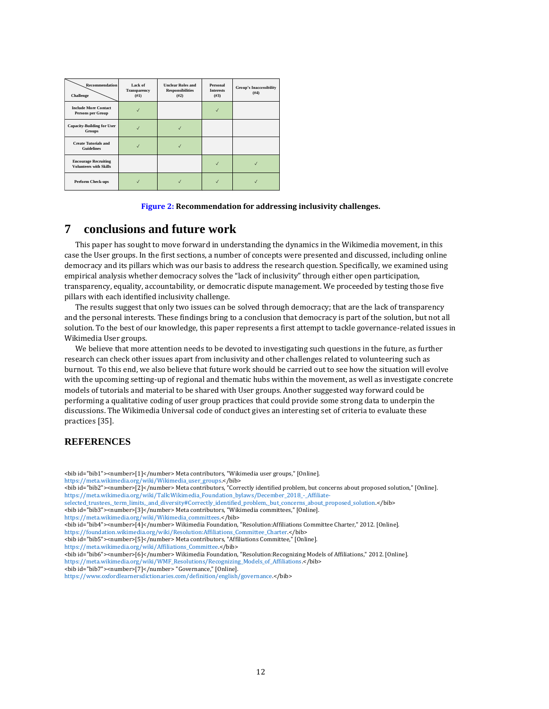| Recommendation<br>Challenge                                  | Lack of<br>Transparency<br>(#1) | <b>Unclear Roles and</b><br><b>Responsibilities</b><br>(#2) | Personal<br><b>Interests</b><br>(#3) | <b>Group's Inaccessibility</b><br>(#4) |
|--------------------------------------------------------------|---------------------------------|-------------------------------------------------------------|--------------------------------------|----------------------------------------|
| <b>Include More Contact</b><br><b>Persons per Group</b>      |                                 |                                                             |                                      |                                        |
| <b>Capacity-Building for User</b><br>Groups                  |                                 |                                                             |                                      |                                        |
| <b>Create Tutorials and</b><br><b>Guidelines</b>             |                                 |                                                             |                                      |                                        |
| <b>Encourage Recruiting</b><br><b>Volunteers with Skills</b> |                                 |                                                             |                                      |                                        |
| Perform Check-ups                                            |                                 |                                                             |                                      |                                        |

#### **Figure 2: Recommendation for addressing inclusivity challenges.**

# **7 conclusions and future work**

This paper has sought to move forward in understanding the dynamics in the Wikimedia movement, in this case the User groups. In the first sections, a number of concepts were presented and discussed, including online democracy and its pillars which was our basis to address the research question. Specifically, we examined using empirical analysis whether democracy solves the "lack of inclusivity" through either open participation, transparency, equality, accountability, or democratic dispute management. We proceeded by testing those five pillars with each identified inclusivity challenge.

The results suggest that only two issues can be solved through democracy; that are the lack of transparency and the personal interests. These findings bring to a conclusion that democracy is part of the solution, but not all solution. To the best of our knowledge, this paper represents a first attempt to tackle governance-related issues in Wikimedia User groups.

We believe that more attention needs to be devoted to investigating such questions in the future, as further research can check other issues apart from inclusivity and other challenges related to volunteering such as burnout. To this end, we also believe that future work should be carried out to see how the situation will evolve with the upcoming setting-up of regional and thematic hubs within the movement, as well as investigate concrete models of tutorials and material to be shared with User groups. Another suggested way forward could be performing a qualitative coding of user group practices that could provide some strong data to underpin the discussions. The Wikimedia Universal code of conduct gives an interesting set of criteria to evaluate these practices [35].

#### **REFERENCES**

- <bib id="bib1"><number>[1]</number> Meta contributors, "Wikimedia user groups," [Online].
- [https://meta.wikimedia.org/wiki/Wikimedia\\_user\\_groups.<](https://meta.wikimedia.org/wiki/Wikimedia_user_groups)/bib>
- <bib id="bib2"><number>[2]</number> Meta contributors, "Correctly identified problem, but concerns about proposed solution," [Online]. [https://meta.wikimedia.org/wiki/Talk:Wikimedia\\_Foundation\\_bylaws/December\\_2018\\_-\\_Affiliate-](https://meta.wikimedia.org/wiki/Talk:Wikimedia_Foundation_bylaws/December_2018_-_Affiliate-selected_trustees,_term_limits,_and_diversity#Correctly_identified_problem,_but_concerns_about_proposed_solution)
- [selected\\_trustees,\\_term\\_limits,\\_and\\_diversity#Correctly\\_identified\\_problem,\\_but\\_concerns\\_about\\_proposed\\_solution.<](https://meta.wikimedia.org/wiki/Talk:Wikimedia_Foundation_bylaws/December_2018_-_Affiliate-selected_trustees,_term_limits,_and_diversity#Correctly_identified_problem,_but_concerns_about_proposed_solution)/bib>
- <bib id="bib3"><number>[3]</number> Meta contributors, "Wikimedia committees," [Online]. [https://meta.wikimedia.org/wiki/Wikimedia\\_committees.<](https://meta.wikimedia.org/wiki/Wikimedia_committees)/bib>
- <bib id="bib4"><number>[4]</number> Wikimedia Foundation, "Resolution:Affiliations Committee Charter," 2012. [Online].
- [https://foundation.wikimedia.org/wiki/Resolution:Affiliations\\_Committee\\_Charter.<](https://foundation.wikimedia.org/wiki/Resolution:Affiliations_Committee_Charter)/bib>
- <bib id="bib5"><number>[5]</number> Meta contributors, "Affiliations Committee," [Online].
- [https://meta.wikimedia.org/wiki/Affiliations\\_Committee.<](https://meta.wikimedia.org/wiki/Affiliations_Committee)/bib>
- <bib id="bib6"><number>[6]</number> Wikimedia Foundation, "Resolution:Recognizing Models of Affiliations," 2012. [Online]. [https://meta.wikimedia.org/wiki/WMF\\_Resolutions/Recognizing\\_Models\\_of\\_Affiliations.<](https://meta.wikimedia.org/wiki/WMF_Resolutions/Recognizing_Models_of_Affiliations)/bib>
- <bib id="bib7"><number>[7]</number> "Governance," [Online].

[https://www.oxfordlearnersdictionaries.com/definition/english/governance.<](https://www.oxfordlearnersdictionaries.com/definition/english/governance)/bib>